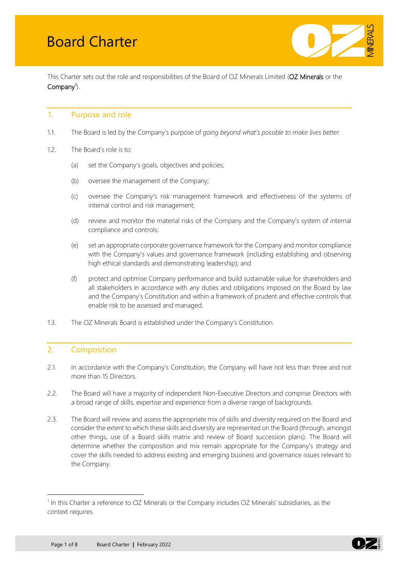

This Charter sets out the role and responsibilities of the Board of OZ Minerals Limited (OZ Minerals or the Company<sup>[1](#page-0-0)</sup>).

# 1. Purpose and role

- 1.1. The Board is led by the Company's purpose of *going beyond what's possible to make lives better*.
- 1.2. The Board's role is to:
	- (a) set the Company's goals, objectives and policies;
	- (b) oversee the management of the Company;
	- (c) oversee the Company's risk management framework and effectiveness of the systems of internal control and risk management;
	- (d) review and monitor the material risks of the Company and the Company's system of internal compliance and controls;
	- (e) set an appropriate corporate governance framework for the Company and monitor compliance with the Company's values and governance framework (including establishing and observing high ethical standards and demonstrating leadership); and
	- (f) protect and optimise Company performance and build sustainable value for shareholders and all stakeholders in accordance with any duties and obligations imposed on the Board by law and the Company's Constitution and within a framework of prudent and effective controls that enable risk to be assessed and managed.
- 1.3. The OZ Minerals Board is established under the Company's Constitution.

# 2. Composition

- 2.1. In accordance with the Company's Constitution, the Company will have not less than three and not more than 15 Directors.
- 2.2. The Board will have a majority of independent Non-Executive Directors and comprise Directors with a broad range of skills, expertise and experience from a diverse range of backgrounds.
- 2.3. The Board will review and assess the appropriate mix of skills and diversity required on the Board and consider the extent to which these skills and diversity are represented on the Board (through, amongst other things, use of a Board skills matrix and review of Board succession plans). The Board will determine whether the composition and mix remain appropriate for the Company's strategy and cover the skills needed to address existing and emerging business and governance issues relevant to the Company.



<span id="page-0-0"></span> $1$  In this Charter a reference to OZ Minerals or the Company includes OZ Minerals' subsidiaries, as the context requires.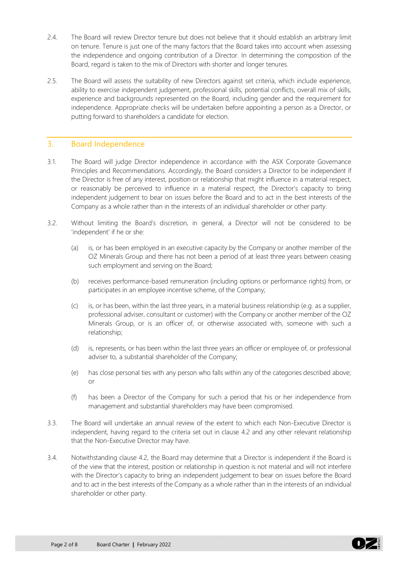- 2.4. The Board will review Director tenure but does not believe that it should establish an arbitrary limit on tenure. Tenure is just one of the many factors that the Board takes into account when assessing the independence and ongoing contribution of a Director. In determining the composition of the Board, regard is taken to the mix of Directors with shorter and longer tenures.
- 2.5. The Board will assess the suitability of new Directors against set criteria, which include experience, ability to exercise independent judgement, professional skills, potential conflicts, overall mix of skills, experience and backgrounds represented on the Board, including gender and the requirement for independence. Appropriate checks will be undertaken before appointing a person as a Director, or putting forward to shareholders a candidate for election.

# 3. Board Independence

- 3.1. The Board will judge Director independence in accordance with the ASX Corporate Governance Principles and Recommendations. Accordingly, the Board considers a Director to be independent if the Director is free of any interest, position or relationship that might influence in a material respect, or reasonably be perceived to influence in a material respect, the Director's capacity to bring independent judgement to bear on issues before the Board and to act in the best interests of the Company as a whole rather than in the interests of an individual shareholder or other party.
- 3.2. Without limiting the Board's discretion, in general, a Director will not be considered to be 'independent' if he or she:
	- (a) is, or has been employed in an executive capacity by the Company or another member of the OZ Minerals Group and there has not been a period of at least three years between ceasing such employment and serving on the Board;
	- (b) receives performance-based remuneration (including options or performance rights) from, or participates in an employee incentive scheme, of the Company;
	- (c) is, or has been, within the last three years, in a material business relationship (e.g. as a supplier, professional adviser, consultant or customer) with the Company or another member of the OZ Minerals Group, or is an officer of, or otherwise associated with, someone with such a relationship;
	- (d) is, represents, or has been within the last three years an officer or employee of, or professional adviser to, a substantial shareholder of the Company;
	- (e) has close personal ties with any person who falls within any of the categories described above; or
	- (f) has been a Director of the Company for such a period that his or her independence from management and substantial shareholders may have been compromised.
- 3.3. The Board will undertake an annual review of the extent to which each Non-Executive Director is independent, having regard to the criteria set out in clause 4.2 and any other relevant relationship that the Non-Executive Director may have.
- 3.4. Notwithstanding clause 4.2, the Board may determine that a Director is independent if the Board is of the view that the interest, position or relationship in question is not material and will not interfere with the Director's capacity to bring an independent judgement to bear on issues before the Board and to act in the best interests of the Company as a whole rather than in the interests of an individual shareholder or other party.

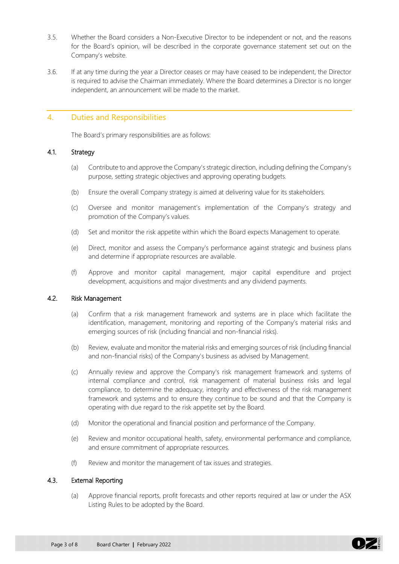- 3.5. Whether the Board considers a Non-Executive Director to be independent or not, and the reasons for the Board's opinion, will be described in the corporate governance statement set out on the Company's website.
- 3.6. If at any time during the year a Director ceases or may have ceased to be independent, the Director is required to advise the Chairman immediately. Where the Board determines a Director is no longer independent, an announcement will be made to the market.

# 4. Duties and Responsibilities

The Board's primary responsibilities are as follows:

#### 4.1. Strategy

- (a) Contribute to and approve the Company's strategic direction, including defining the Company's purpose, setting strategic objectives and approving operating budgets.
- (b) Ensure the overall Company strategy is aimed at delivering value for its stakeholders.
- (c) Oversee and monitor management's implementation of the Company's strategy and promotion of the Company's values.
- (d) Set and monitor the risk appetite within which the Board expects Management to operate.
- (e) Direct, monitor and assess the Company's performance against strategic and business plans and determine if appropriate resources are available.
- (f) Approve and monitor capital management, major capital expenditure and project development, acquisitions and major divestments and any dividend payments.

## 4.2. Risk Management

- (a) Confirm that a risk management framework and systems are in place which facilitate the identification, management, monitoring and reporting of the Company's material risks and emerging sources of risk (including financial and non-financial risks).
- (b) Review, evaluate and monitor the material risks and emerging sources of risk (including financial and non-financial risks) of the Company's business as advised by Management.
- (c) Annually review and approve the Company's risk management framework and systems of internal compliance and control, risk management of material business risks and legal compliance, to determine the adequacy, integrity and effectiveness of the risk management framework and systems and to ensure they continue to be sound and that the Company is operating with due regard to the risk appetite set by the Board.
- (d) Monitor the operational and financial position and performance of the Company.
- (e) Review and monitor occupational health, safety, environmental performance and compliance, and ensure commitment of appropriate resources.
- (f) Review and monitor the management of tax issues and strategies.

#### 4.3. External Reporting

(a) Approve financial reports, profit forecasts and other reports required at law or under the ASX Listing Rules to be adopted by the Board.

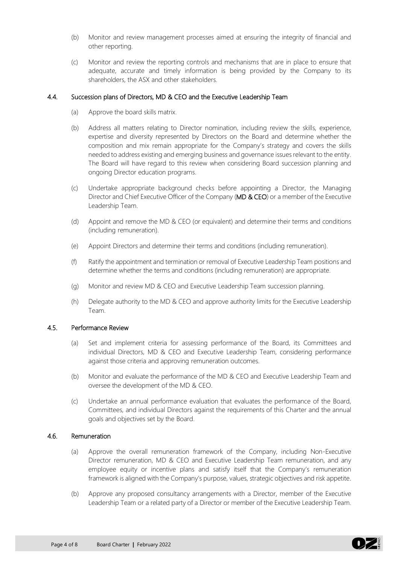- (b) Monitor and review management processes aimed at ensuring the integrity of financial and other reporting.
- (c) Monitor and review the reporting controls and mechanisms that are in place to ensure that adequate, accurate and timely information is being provided by the Company to its shareholders, the ASX and other stakeholders.

#### 4.4. Succession plans of Directors, MD & CEO and the Executive Leadership Team

- (a) Approve the board skills matrix.
- (b) Address all matters relating to Director nomination, including review the skills, experience, expertise and diversity represented by Directors on the Board and determine whether the composition and mix remain appropriate for the Company's strategy and covers the skills needed to address existing and emerging business and governance issues relevant to the entity. The Board will have regard to this review when considering Board succession planning and ongoing Director education programs.
- (c) Undertake appropriate background checks before appointing a Director, the Managing Director and Chief Executive Officer of the Company (MD & CEO) or a member of the Executive Leadership Team.
- (d) Appoint and remove the MD & CEO (or equivalent) and determine their terms and conditions (including remuneration).
- (e) Appoint Directors and determine their terms and conditions (including remuneration).
- (f) Ratify the appointment and termination or removal of Executive Leadership Team positions and determine whether the terms and conditions (including remuneration) are appropriate.
- (g) Monitor and review MD & CEO and Executive Leadership Team succession planning.
- (h) Delegate authority to the MD & CEO and approve authority limits for the Executive Leadership Team.

## 4.5. Performance Review

- (a) Set and implement criteria for assessing performance of the Board, its Committees and individual Directors, MD & CEO and Executive Leadership Team, considering performance against those criteria and approving remuneration outcomes.
- (b) Monitor and evaluate the performance of the MD & CEO and Executive Leadership Team and oversee the development of the MD & CEO.
- (c) Undertake an annual performance evaluation that evaluates the performance of the Board, Committees, and individual Directors against the requirements of this Charter and the annual goals and objectives set by the Board.

#### 4.6. Remuneration

- (a) Approve the overall remuneration framework of the Company, including Non-Executive Director remuneration, MD & CEO and Executive Leadership Team remuneration, and any employee equity or incentive plans and satisfy itself that the Company's remuneration framework is aligned with the Company's purpose, values, strategic objectives and risk appetite.
- (b) Approve any proposed consultancy arrangements with a Director, member of the Executive Leadership Team or a related party of a Director or member of the Executive Leadership Team.

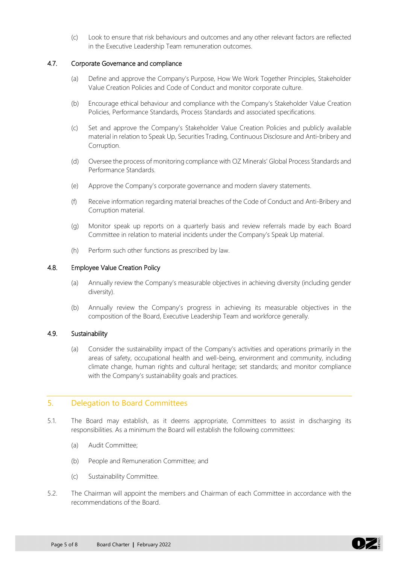(c) Look to ensure that risk behaviours and outcomes and any other relevant factors are reflected in the Executive Leadership Team remuneration outcomes.

#### 4.7. Corporate Governance and compliance

- (a) Define and approve the Company's Purpose, How We Work Together Principles, Stakeholder Value Creation Policies and Code of Conduct and monitor corporate culture.
- (b) Encourage ethical behaviour and compliance with the Company's Stakeholder Value Creation Policies, Performance Standards, Process Standards and associated specifications.
- (c) Set and approve the Company's Stakeholder Value Creation Policies and publicly available material in relation to Speak Up, Securities Trading, Continuous Disclosure and Anti-bribery and Corruption.
- (d) Oversee the process of monitoring compliance with OZ Minerals' Global Process Standards and Performance Standards.
- (e) Approve the Company's corporate governance and modern slavery statements.
- (f) Receive information regarding material breaches of the Code of Conduct and Anti-Bribery and Corruption material.
- (g) Monitor speak up reports on a quarterly basis and review referrals made by each Board Committee in relation to material incidents under the Company's Speak Up material.
- (h) Perform such other functions as prescribed by law.

#### 4.8. Employee Value Creation Policy

- (a) Annually review the Company's measurable objectives in achieving diversity (including gender diversity).
- (b) Annually review the Company's progress in achieving its measurable objectives in the composition of the Board, Executive Leadership Team and workforce generally.

## 4.9. Sustainability

(a) Consider the sustainability impact of the Company's activities and operations primarily in the areas of safety, occupational health and well-being, environment and community, including climate change, human rights and cultural heritage; set standards; and monitor compliance with the Company's sustainability goals and practices.

# 5. Delegation to Board Committees

- 5.1. The Board may establish, as it deems appropriate, Committees to assist in discharging its responsibilities. As a minimum the Board will establish the following committees:
	- (a) Audit Committee;
	- (b) People and Remuneration Committee; and
	- (c) Sustainability Committee.
- 5.2. The Chairman will appoint the members and Chairman of each Committee in accordance with the recommendations of the Board.

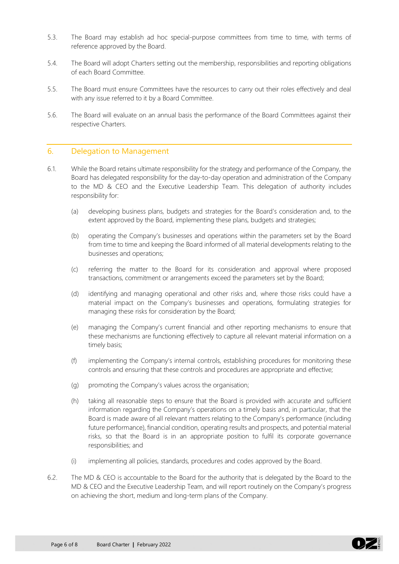- 5.3. The Board may establish ad hoc special-purpose committees from time to time, with terms of reference approved by the Board.
- 5.4. The Board will adopt Charters setting out the membership, responsibilities and reporting obligations of each Board Committee.
- 5.5. The Board must ensure Committees have the resources to carry out their roles effectively and deal with any issue referred to it by a Board Committee.
- 5.6. The Board will evaluate on an annual basis the performance of the Board Committees against their respective Charters.

## 6. Delegation to Management

- 6.1. While the Board retains ultimate responsibility for the strategy and performance of the Company, the Board has delegated responsibility for the day-to-day operation and administration of the Company to the MD & CEO and the Executive Leadership Team. This delegation of authority includes responsibility for:
	- (a) developing business plans, budgets and strategies for the Board's consideration and, to the extent approved by the Board, implementing these plans, budgets and strategies;
	- (b) operating the Company's businesses and operations within the parameters set by the Board from time to time and keeping the Board informed of all material developments relating to the businesses and operations;
	- (c) referring the matter to the Board for its consideration and approval where proposed transactions, commitment or arrangements exceed the parameters set by the Board;
	- (d) identifying and managing operational and other risks and, where those risks could have a material impact on the Company's businesses and operations, formulating strategies for managing these risks for consideration by the Board;
	- (e) managing the Company's current financial and other reporting mechanisms to ensure that these mechanisms are functioning effectively to capture all relevant material information on a timely basis;
	- (f) implementing the Company's internal controls, establishing procedures for monitoring these controls and ensuring that these controls and procedures are appropriate and effective;
	- (g) promoting the Company's values across the organisation;
	- (h) taking all reasonable steps to ensure that the Board is provided with accurate and sufficient information regarding the Company's operations on a timely basis and, in particular, that the Board is made aware of all relevant matters relating to the Company's performance (including future performance), financial condition, operating results and prospects, and potential material risks, so that the Board is in an appropriate position to fulfil its corporate governance responsibilities; and
	- (i) implementing all policies, standards, procedures and codes approved by the Board.
- 6.2. The MD & CEO is accountable to the Board for the authority that is delegated by the Board to the MD & CEO and the Executive Leadership Team, and will report routinely on the Company's progress on achieving the short, medium and long-term plans of the Company.

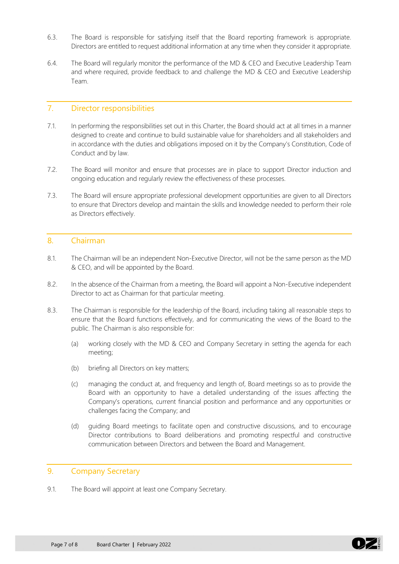- 6.3. The Board is responsible for satisfying itself that the Board reporting framework is appropriate. Directors are entitled to request additional information at any time when they consider it appropriate.
- 6.4. The Board will regularly monitor the performance of the MD & CEO and Executive Leadership Team and where required, provide feedback to and challenge the MD & CEO and Executive Leadership Team.

# 7. Director responsibilities

- 7.1. In performing the responsibilities set out in this Charter, the Board should act at all times in a manner designed to create and continue to build sustainable value for shareholders and all stakeholders and in accordance with the duties and obligations imposed on it by the Company's Constitution, Code of Conduct and by law.
- 7.2. The Board will monitor and ensure that processes are in place to support Director induction and ongoing education and regularly review the effectiveness of these processes.
- 7.3. The Board will ensure appropriate professional development opportunities are given to all Directors to ensure that Directors develop and maintain the skills and knowledge needed to perform their role as Directors effectively.

# 8. Chairman

- 8.1. The Chairman will be an independent Non-Executive Director, will not be the same person as the MD & CEO, and will be appointed by the Board.
- 8.2. In the absence of the Chairman from a meeting, the Board will appoint a Non-Executive independent Director to act as Chairman for that particular meeting.
- 8.3. The Chairman is responsible for the leadership of the Board, including taking all reasonable steps to ensure that the Board functions effectively, and for communicating the views of the Board to the public. The Chairman is also responsible for:
	- (a) working closely with the MD & CEO and Company Secretary in setting the agenda for each meeting;
	- (b) briefing all Directors on key matters;
	- (c) managing the conduct at, and frequency and length of, Board meetings so as to provide the Board with an opportunity to have a detailed understanding of the issues affecting the Company's operations, current financial position and performance and any opportunities or challenges facing the Company; and
	- (d) guiding Board meetings to facilitate open and constructive discussions, and to encourage Director contributions to Board deliberations and promoting respectful and constructive communication between Directors and between the Board and Management.

# 9. Company Secretary

9.1. The Board will appoint at least one Company Secretary.